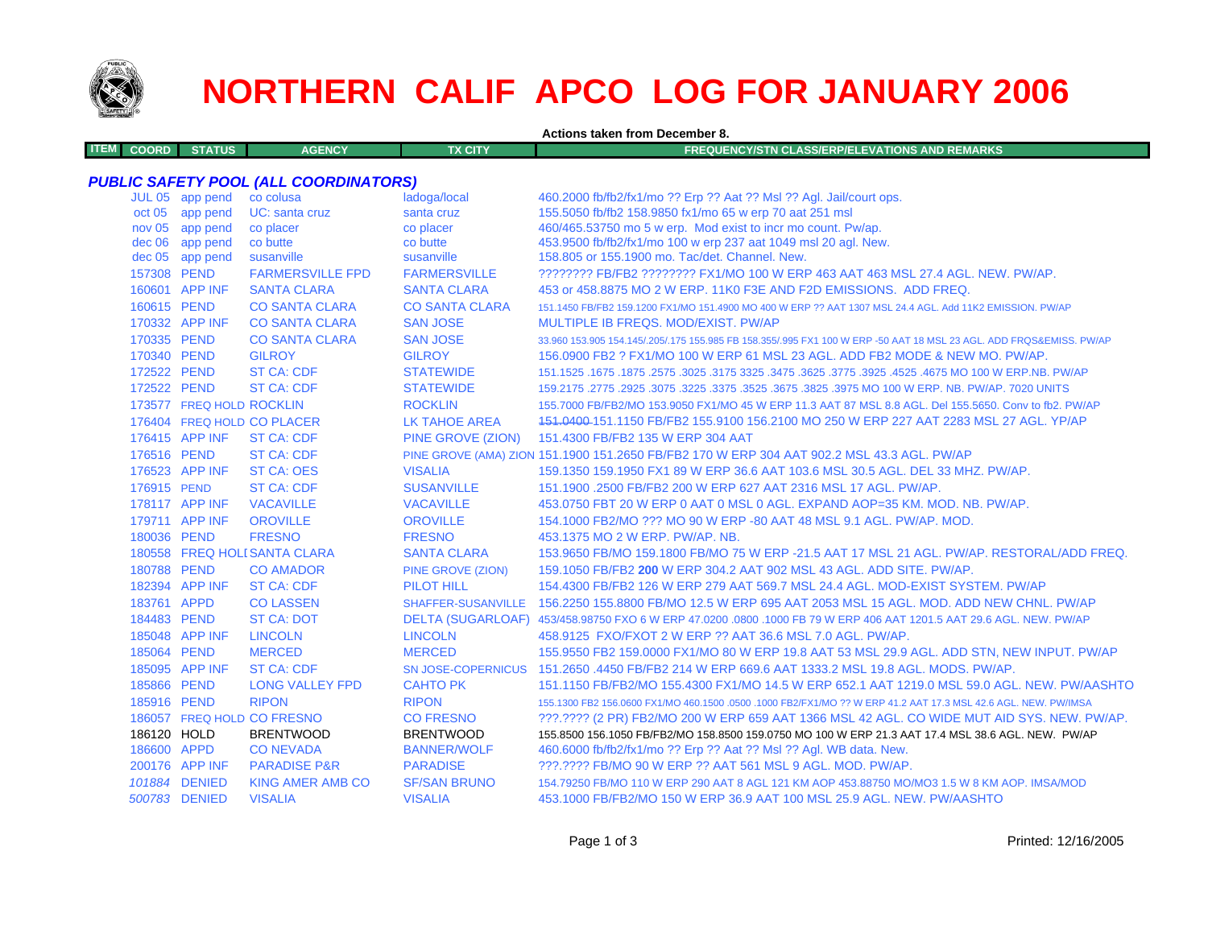

## **NORTHERN CALIF APCO LOG FOR JANUARY 2006**

**Actions taken from December 8.**

| <b>ITEM COORD STATUS</b> | <b>AGENCY</b> | <b>TX CITY</b> | <b>FREQUENCY/STN CLASS/ERP/ELEVATIONS AND REMARKS</b> |
|--------------------------|---------------|----------------|-------------------------------------------------------|
|                          |               |                |                                                       |

## *PUBLIC SAFETY POOL (ALL COORDINATORS)*

|             | JUL 05 app pend          | co colusa                    | ladoga/local             | 460.2000 fb/fb2/fx1/mo ?? Erp ?? Aat ?? Msl ?? Agl. Jail/court ops.                                                 |
|-------------|--------------------------|------------------------------|--------------------------|---------------------------------------------------------------------------------------------------------------------|
|             | oct 05 app pend          | UC: santa cruz               | santa cruz               | 155.5050 fb/fb2 158.9850 fx1/mo 65 w erp 70 aat 251 msl                                                             |
|             | nov 05 app pend          | co placer                    | co placer                | 460/465.53750 mo 5 w erp. Mod exist to incr mo count. Pw/ap.                                                        |
|             | dec 06 app pend          | co butte                     | co butte                 | 453.9500 fb/fb2/fx1/mo 100 w erp 237 aat 1049 msl 20 agl. New.                                                      |
|             | dec 05 app pend          | susanville                   | susanville               | 158,805 or 155,1900 mo. Tac/det. Channel. New.                                                                      |
| 157308 PEND |                          | <b>FARMERSVILLE FPD</b>      | <b>FARMERSVILLE</b>      | ???????? FB/FB2 ???????? FX1/MO 100 W ERP 463 AAT 463 MSL 27.4 AGL, NEW, PW/AP,                                     |
|             | 160601 APP INF           | <b>SANTA CLARA</b>           | <b>SANTA CLARA</b>       | 453 or 458,8875 MO 2 W ERP, 11K0 F3E AND F2D EMISSIONS. ADD FREQ.                                                   |
| 160615 PEND |                          | <b>CO SANTA CLARA</b>        | <b>CO SANTA CLARA</b>    | 151.1450 FB/FB2 159.1200 FX1/MO 151.4900 MO 400 W ERP ?? AAT 1307 MSL 24.4 AGL. Add 11K2 EMISSION. PW/AP            |
|             | 170332 APP INF           | <b>CO SANTA CLARA</b>        | <b>SAN JOSE</b>          | MULTIPLE IB FREQS. MOD/EXIST. PW/AP                                                                                 |
| 170335 PEND |                          | <b>CO SANTA CLARA</b>        | <b>SAN JOSE</b>          | 33.960 153.905 154.145/.205/.175 155.985 FB 158.355/.995 FX1 100 W ERP -50 AAT 18 MSL 23 AGL. ADD FRQS&EMISS. PW/AP |
| 170340 PEND |                          | <b>GILROY</b>                | <b>GILROY</b>            | 156.0900 FB2 ? FX1/MO 100 W ERP 61 MSL 23 AGL. ADD FB2 MODE & NEW MO. PW/AP.                                        |
| 172522 PEND |                          | <b>ST CA: CDF</b>            | <b>STATEWIDE</b>         | 151.1525 .1675 .1875 .2575 .3025 .3175 .3625 .3775 .3625 .3775 .3925 .4525 .2575 .3025 .5871 .1525 .1675 .1675      |
| 172522 PEND |                          | <b>ST CA: CDF</b>            | <b>STATEWIDE</b>         | 159.2175 .2775 .2925 .3075 .3225 .3675 .3825 .3825 .3975 MO 100 W ERP. NB. PW/AP. 7020 UNITS                        |
|             | 173577 FREQ HOLD ROCKLIN |                              | <b>ROCKLIN</b>           | 155.7000 FB/FB2/MO 153.9050 FX1/MO 45 W ERP 11.3 AAT 87 MSL 8.8 AGL. Del 155.5650. Conv to fb2. PW/AP               |
|             |                          | 176404 FREQ HOLD CO PLACER   | LK TAHOE AREA            | 151,0400-151,1150 FB/FB2 155,9100 156,2100 MO 250 W ERP 227 AAT 2283 MSL 27 AGL, YP/AP                              |
|             | 176415 APP INF           | <b>ST CA: CDF</b>            |                          | PINE GROVE (ZION) 151.4300 FB/FB2 135 W ERP 304 AAT                                                                 |
| 176516 PEND |                          | <b>ST CA: CDF</b>            |                          | PINE GROVE (AMA) ZION 151.1900 151.2650 FB/FB2 170 W ERP 304 AAT 902.2 MSL 43.3 AGL. PW/AP                          |
|             | 176523 APP INF           | <b>ST CA: OES</b>            | <b>VISALIA</b>           | 159.1350 159.1950 FX1 89 W ERP 36.6 AAT 103.6 MSL 30.5 AGL. DEL 33 MHZ. PW/AP.                                      |
| 176915 PEND |                          | <b>ST CA: CDF</b>            | <b>SUSANVILLE</b>        | 151.1900 .2500 FB/FB2 200 W ERP 627 AAT 2316 MSL 17 AGL. PW/AP.                                                     |
|             | 178117 APP INF           | <b>VACAVILLE</b>             | <b>VACAVILLE</b>         | 453.0750 FBT 20 W ERP 0 AAT 0 MSL 0 AGL, EXPAND AOP=35 KM, MOD, NB, PW/AP,                                          |
|             | 179711 APP INF           | <b>OROVILLE</b>              | <b>OROVILLE</b>          | 154,1000 FB2/MO ??? MO 90 W ERP -80 AAT 48 MSL 9.1 AGL, PW/AP, MOD.                                                 |
| 180036 PEND |                          | <b>FRESNO</b>                | <b>FRESNO</b>            | 453.1375 MO 2 W ERP. PW/AP. NB.                                                                                     |
|             |                          | 180558 FREQ HOLI SANTA CLARA | <b>SANTA CLARA</b>       | 153.9650 FB/MO 159.1800 FB/MO 75 W ERP -21.5 AAT 17 MSL 21 AGL, PW/AP, RESTORAL/ADD FREQ.                           |
| 180788 PEND |                          | <b>CO AMADOR</b>             | <b>PINE GROVE (ZION)</b> | 159.1050 FB/FB2 200 W ERP 304.2 AAT 902 MSL 43 AGL, ADD SITE, PW/AP.                                                |
|             | 182394 APP INF           | <b>ST CA: CDF</b>            | <b>PILOT HILL</b>        | 154,4300 FB/FB2 126 W ERP 279 AAT 569.7 MSL 24.4 AGL, MOD-EXIST SYSTEM, PW/AP                                       |
| 183761 APPD |                          | <b>CO LASSEN</b>             |                          | SHAFFER-SUSANVILLE 156.2250 155.8800 FB/MO 12.5 W ERP 695 AAT 2053 MSL 15 AGL. MOD. ADD NEW CHNL. PW/AP             |
| 184483 PEND |                          | <b>ST CA: DOT</b>            |                          | DELTA (SUGARLOAF) 453/458.98750 FXO 6 W ERP 47.0200 .0800 .1000 FB 79 W ERP 406 AAT 1201.5 AAT 29.6 AGL. NEW. PW/AP |
|             | 185048 APP INF           | <b>LINCOLN</b>               | <b>LINCOLN</b>           | 458.9125 FXO/FXOT 2 W ERP ?? AAT 36.6 MSL 7.0 AGL. PW/AP.                                                           |
| 185064 PEND |                          | <b>MERCED</b>                | <b>MERCED</b>            | 155,9550 FB2 159,0000 FX1/MO 80 W ERP 19.8 AAT 53 MSL 29.9 AGL, ADD STN, NEW INPUT, PW/AP                           |
|             | 185095 APP INF           | <b>ST CA: CDF</b>            |                          | SN JOSE-COPERNICUS 151,2650,4450 FB/FB2 214 W ERP 669.6 AAT 1333.2 MSL 19.8 AGL, MODS, PW/AP,                       |
| 185866 PEND |                          | <b>LONG VALLEY FPD</b>       | <b>CAHTO PK</b>          | 151.1150 FB/FB2/MO 155.4300 FX1/MO 14.5 W ERP 652.1 AAT 1219.0 MSL 59.0 AGL. NEW. PW/AASHTO                         |
| 185916 PEND |                          | <b>RIPON</b>                 | <b>RIPON</b>             | 155.1300 FB2 156.0600 FX1/MO 460.1500 .0500 .1000 FB2/FX1/MO ?? W ERP 41.2 AAT 17.3 MSL 42.6 AGL. NEW. PW/IMSA      |
|             |                          | 186057 FREQ HOLD CO FRESNO   | <b>CO FRESNO</b>         | ???.???? (2 PR) FB2/MO 200 W ERP 659 AAT 1366 MSL 42 AGL. CO WIDE MUT AID SYS. NEW. PW/AP.                          |
| 186120 HOLD |                          | <b>BRENTWOOD</b>             | <b>BRENTWOOD</b>         | 155.8500 156.1050 FB/FB2/MO 158.8500 159.0750 MO 100 W ERP 21.3 AAT 17.4 MSL 38.6 AGL. NEW. PW/AP                   |
| 186600 APPD |                          | <b>CONEVADA</b>              | <b>BANNER/WOLF</b>       | 460.6000 fb/fb2/fx1/mo ?? Erp ?? Aat ?? Msl ?? Agl. WB data. New.                                                   |
|             | 200176 APP INF           | <b>PARADISE P&amp;R</b>      | <b>PARADISE</b>          | ???.???? FB/MO 90 W ERP ?? AAT 561 MSL 9 AGL, MOD, PW/AP.                                                           |
|             | 101884 DENIED            | <b>KING AMER AMB CO</b>      | <b>SF/SAN BRUNO</b>      | 154.79250 FB/MO 110 W ERP 290 AAT 8 AGL 121 KM AOP 453.88750 MO/MO3 1.5 W 8 KM AOP. IMSA/MOD                        |
|             | 500783 DENIED            | <b>VISALIA</b>               | <b>VISALIA</b>           | 453.1000 FB/FB2/MO 150 W ERP 36.9 AAT 100 MSL 25.9 AGL, NEW, PW/AASHTO                                              |
|             |                          |                              |                          |                                                                                                                     |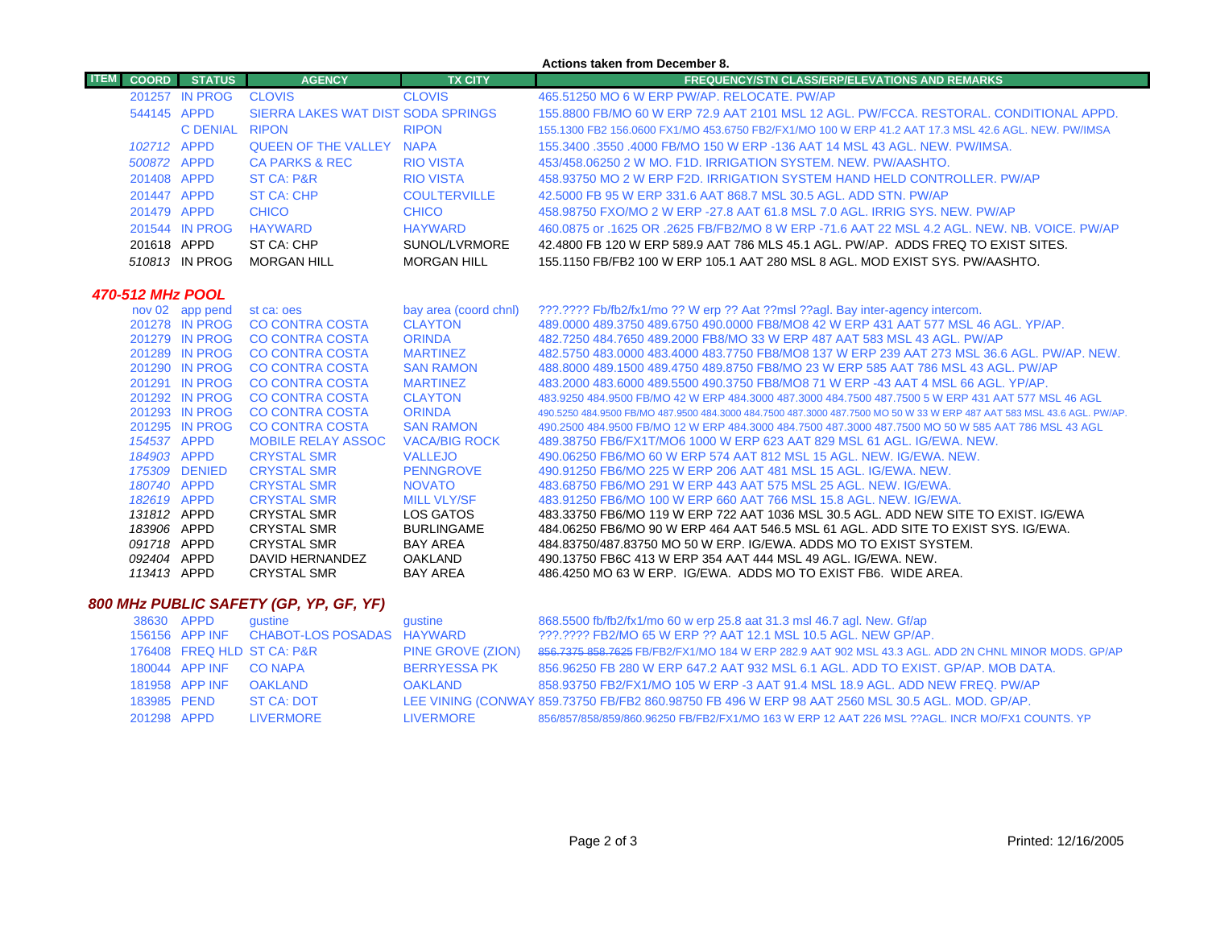|             |                  |                 |                                    |                       | Actions taken from December 8.                                                                                         |  |
|-------------|------------------|-----------------|------------------------------------|-----------------------|------------------------------------------------------------------------------------------------------------------------|--|
| <b>ITEM</b> | <b>COORD</b>     | <b>STATUS</b>   | <b>AGENCY</b>                      | <b>TX CITY</b>        | <b>FREQUENCY/STN CLASS/ERP/ELEVATIONS AND REMARKS</b>                                                                  |  |
|             |                  | 201257 IN PROG  | <b>CLOVIS</b>                      | <b>CLOVIS</b>         | 465.51250 MO 6 W ERP PW/AP, RELOCATE, PW/AP                                                                            |  |
|             | 544145 APPD      |                 | SIERRA LAKES WAT DIST SODA SPRINGS |                       | 155,8800 FB/MO 60 W ERP 72.9 AAT 2101 MSL 12 AGL, PW/FCCA, RESTORAL, CONDITIONAL APPD.                                 |  |
|             |                  | C DENIAL RIPON  |                                    | <b>RIPON</b>          | 155.1300 FB2 156.0600 FX1/MO 453.6750 FB2/FX1/MO 100 W ERP 41.2 AAT 17.3 MSL 42.6 AGL. NEW, PW/IMSA                    |  |
|             | 102712 APPD      |                 | <b>QUEEN OF THE VALLEY NAPA</b>    |                       | 155,3400 .3550 .4000 FB/MO 150 W ERP -136 AAT 14 MSL 43 AGL, NEW, PW/IMSA.                                             |  |
|             | 500872 APPD      |                 | <b>CA PARKS &amp; REC</b>          | <b>RIO VISTA</b>      | 453/458.06250 2 W MO. F1D. IRRIGATION SYSTEM. NEW. PW/AASHTO.                                                          |  |
|             | 201408 APPD      |                 | <b>ST CA: P&amp;R</b>              | <b>RIO VISTA</b>      | 458,93750 MO 2 W ERP F2D. IRRIGATION SYSTEM HAND HELD CONTROLLER. PW/AP                                                |  |
|             | 201447 APPD      |                 | <b>ST CA: CHP</b>                  | <b>COULTERVILLE</b>   | 42,5000 FB 95 W ERP 331.6 AAT 868.7 MSL 30.5 AGL, ADD STN, PW/AP                                                       |  |
|             | 201479 APPD      |                 | <b>CHICO</b>                       | <b>CHICO</b>          | 458,98750 FXO/MO 2 W ERP -27.8 AAT 61.8 MSL 7.0 AGL. IRRIG SYS. NEW, PW/AP                                             |  |
|             |                  | 201544 IN PROG  | <b>HAYWARD</b>                     | <b>HAYWARD</b>        | 460,0875 or .1625 OR .2625 FB/FB2/MO 8 W ERP -71.6 AAT 22 MSL 4.2 AGL. NEW, NB, VOICE, PW/AP                           |  |
|             | 201618 APPD      |                 | ST CA: CHP                         | SUNOL/LVRMORE         | 42.4800 FB 120 W ERP 589.9 AAT 786 MLS 45.1 AGL. PW/AP. ADDS FREQ TO EXIST SITES.                                      |  |
|             |                  | 510813 IN PROG  | <b>MORGAN HILL</b>                 | <b>MORGAN HILL</b>    | 155,1150 FB/FB2 100 W ERP 105.1 AAT 280 MSL 8 AGL, MOD EXIST SYS, PW/AASHTO.                                           |  |
|             |                  |                 |                                    |                       |                                                                                                                        |  |
|             | 470-512 MHz POOL |                 |                                    |                       |                                                                                                                        |  |
|             |                  | nov 02 app pend | st ca: oes                         | bay area (coord chnl) | ???.???? Fb/fb2/fx1/mo ?? W erp ?? Aat ??msl ??agl. Bay inter-agency intercom.                                         |  |
|             |                  | 201278 IN PROG  | <b>CO CONTRA COSTA</b>             | <b>CLAYTON</b>        | 489,0000 489,3750 489,6750 490,0000 FB8/MO8 42 W ERP 431 AAT 577 MSL 46 AGL, YP/AP,                                    |  |
|             |                  | 201279 IN PROG  | <b>CO CONTRA COSTA</b>             | <b>ORINDA</b>         | 482.7250 484.7650 489.2000 FB8/MO 33 W ERP 487 AAT 583 MSL 43 AGL, PW/AP                                               |  |
|             |                  | 201289 IN PROG  | <b>CO CONTRA COSTA</b>             | <b>MARTINEZ</b>       | 482,5750 483,0000 483,4000 483,7750 FB8/MO8 137 W ERP 239 AAT 273 MSL 36.6 AGL, PW/AP, NEW.                            |  |
|             |                  | 201290 IN PROG  | <b>CO CONTRA COSTA</b>             | <b>SAN RAMON</b>      | 488,8000 489,1500 489,4750 489,8750 FB8/MO 23 W ERP 585 AAT 786 MSL 43 AGL, PW/AP                                      |  |
|             |                  | 201291 IN PROG  | <b>CO CONTRA COSTA</b>             | <b>MARTINEZ</b>       | 483,2000 483,6000 489,5500 490,3750 FB8/MO8 71 W ERP -43 AAT 4 MSL 66 AGL, YP/AP,                                      |  |
|             |                  | 201292 IN PROG  | <b>CO CONTRA COSTA</b>             | <b>CLAYTON</b>        | 483,9250 484,9500 FB/MO 42 W ERP 484,3000 487,3000 484,7500 487,7500 5 W ERP 431 AAT 577 MSL 46 AGL                    |  |
|             |                  | 201293 IN PROG  | <b>CO CONTRA COSTA</b>             | <b>ORINDA</b>         | 490,5250 484,9500 FB/MO 487,9500 484,3000 484,7500 487,3000 487,7500 MO 50 W 33 W ERP 487 AAT 583 MSL 43.6 AGL, PW/AP, |  |
|             |                  | 201295 IN PROG  | <b>CO CONTRA COSTA</b>             | <b>SAN RAMON</b>      | 490.2500 484.9500 FB/MO 12 W ERP 484.3000 484.7500 487.3000 487.7500 MO 50 W 585 AAT 786 MSL 43 AGL                    |  |
|             | 154537 APPD      |                 | <b>MOBILE RELAY ASSOC</b>          | <b>VACA/BIG ROCK</b>  | 489.38750 FB6/FX1T/MO6 1000 W ERP 623 AAT 829 MSL 61 AGL, IG/EWA, NEW.                                                 |  |
|             | 184903 APPD      |                 | <b>CRYSTAL SMR</b>                 | <b>VALLEJO</b>        | 490.06250 FB6/MO 60 W ERP 574 AAT 812 MSL 15 AGL, NEW, IG/EWA, NEW.                                                    |  |
|             |                  | 175309 DENIED   | <b>CRYSTAL SMR</b>                 | <b>PENNGROVE</b>      | 490,91250 FB6/MO 225 W ERP 206 AAT 481 MSL 15 AGL, IG/EWA, NEW.                                                        |  |
|             | 180740 APPD      |                 | <b>CRYSTAL SMR</b>                 | <b>NOVATO</b>         | 483.68750 FB6/MO 291 W ERP 443 AAT 575 MSL 25 AGL, NEW, IG/EWA,                                                        |  |
|             | 182619 APPD      |                 | <b>CRYSTAL SMR</b>                 | <b>MILL VLY/SF</b>    | 483,91250 FB6/MO 100 W ERP 660 AAT 766 MSL 15.8 AGL, NEW, IG/EWA,                                                      |  |
|             | 131812 APPD      |                 | <b>CRYSTAL SMR</b>                 | LOS GATOS             | 483.33750 FB6/MO 119 W ERP 722 AAT 1036 MSL 30.5 AGL. ADD NEW SITE TO EXIST. IG/EWA                                    |  |
|             | 183906 APPD      |                 | <b>CRYSTAL SMR</b>                 | <b>BURLINGAME</b>     | 484,06250 FB6/MO 90 W ERP 464 AAT 546.5 MSL 61 AGL, ADD SITE TO EXIST SYS, IG/EWA.                                     |  |
|             | 091718 APPD      |                 | <b>CRYSTAL SMR</b>                 | <b>BAY AREA</b>       | 484.83750/487.83750 MO 50 W ERP. IG/EWA, ADDS MO TO EXIST SYSTEM.                                                      |  |
|             | 092404 APPD      |                 | DAVID HERNANDEZ                    | <b>OAKLAND</b>        | 490.13750 FB6C 413 W ERP 354 AAT 444 MSL 49 AGL, IG/EWA, NEW.                                                          |  |
|             | 113413 APPD      |                 | <b>CRYSTAL SMR</b>                 | <b>BAY AREA</b>       | 486,4250 MO 63 W ERP. IG/EWA. ADDS MO TO EXIST FB6. WIDE AREA.                                                         |  |

## *800 MHz PUBLIC SAFETY (GP, YP, GF, YF)*

| 38630 APPD  |                        | qustine                                   | qustine             | 868.5500 fb/fb2/fx1/mo 60 w erp 25.8 aat 31.3 msl 46.7 agl. New. Gf/ap                              |
|-------------|------------------------|-------------------------------------------|---------------------|-----------------------------------------------------------------------------------------------------|
|             |                        | 156156 APP INF CHABOT-LOS POSADAS HAYWARD |                     | ???.???? FB2/MO 65 W ERP ?? AAT 12.1 MSL 10.5 AGL. NEW GP/AP.                                       |
|             |                        | 176408 FREQ HLD ST CA: P&R                | PINE GROVE (ZION)   | 856.7375 858.7625 FB/FB2/FX1/MO 184 W ERP 282.9 AAT 902 MSL 43.3 AGL. ADD 2N CHNL MINOR MODS. GP/AP |
|             | 180044 APP INF CO NAPA |                                           | <b>BERRYESSA PK</b> | 856,96250 FB 280 W ERP 647.2 AAT 932 MSL 6.1 AGL, ADD TO EXIST, GP/AP, MOB DATA,                    |
|             | 181958 APP INF         | <b>OAKI AND</b>                           | <b>OAKI AND</b>     | 858.93750 FB2/FX1/MO 105 W ERP -3 AAT 91.4 MSL 18.9 AGL, ADD NEW FREQ, PW/AP                        |
| 183985 PEND |                        | ST CA: DOT                                |                     | LEE VINING (CONWAY 859.73750 FB/FB2 860.98750 FB 496 W ERP 98 AAT 2560 MSL 30.5 AGL. MOD. GP/AP.    |
| 201298 APPD |                        | <b>LIVERMORE</b>                          | <b>LIVERMORE</b>    | 856/857/858/859/860.96250 FB/FB2/FX1/MO 163 W ERP 12 AAT 226 MSL ??AGL. INCR MO/FX1 COUNTS, YP      |

 $\mathcal{L}^{\text{max}}$